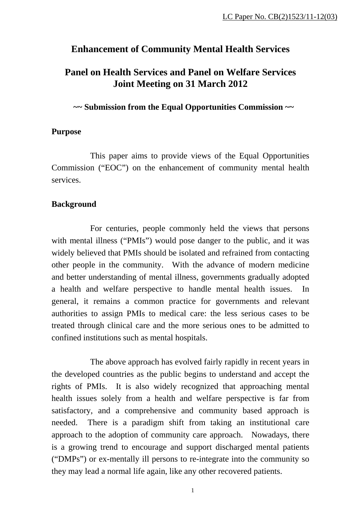# **Enhancement of Community Mental Health Services**

# **Panel on Health Services and Panel on Welfare Services Joint Meeting on 31 March 2012**

**~~ Submission from the Equal Opportunities Commission ~~** 

## **Purpose**

This paper aims to provide views of the Equal Opportunities Commission ("EOC") on the enhancement of community mental health services.

## **Background**

For centuries, people commonly held the views that persons with mental illness ("PMIs") would pose danger to the public, and it was widely believed that PMIs should be isolated and refrained from contacting other people in the community. With the advance of modern medicine and better understanding of mental illness, governments gradually adopted a health and welfare perspective to handle mental health issues. In general, it remains a common practice for governments and relevant authorities to assign PMIs to medical care: the less serious cases to be treated through clinical care and the more serious ones to be admitted to confined institutions such as mental hospitals.

The above approach has evolved fairly rapidly in recent years in the developed countries as the public begins to understand and accept the rights of PMIs. It is also widely recognized that approaching mental health issues solely from a health and welfare perspective is far from satisfactory, and a comprehensive and community based approach is needed. There is a paradigm shift from taking an institutional care approach to the adoption of community care approach. Nowadays, there is a growing trend to encourage and support discharged mental patients ("DMPs") or ex-mentally ill persons to re-integrate into the community so they may lead a normal life again, like any other recovered patients.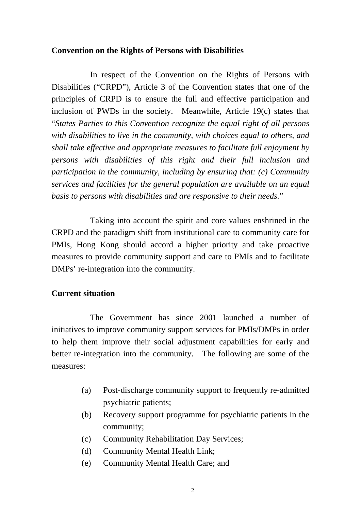## **Convention on the Rights of Persons with Disabilities**

In respect of the Convention on the Rights of Persons with Disabilities ("CRPD"), Article 3 of the Convention states that one of the principles of CRPD is to ensure the full and effective participation and inclusion of PWDs in the society. Meanwhile, Article 19(c) states that "*States Parties to this Convention recognize the equal right of all persons with disabilities to live in the community, with choices equal to others, and shall take effective and appropriate measures to facilitate full enjoyment by persons with disabilities of this right and their full inclusion and participation in the community, including by ensuring that: (c) Community services and facilities for the general population are available on an equal basis to persons with disabilities and are responsive to their needs.*"

Taking into account the spirit and core values enshrined in the CRPD and the paradigm shift from institutional care to community care for PMIs, Hong Kong should accord a higher priority and take proactive measures to provide community support and care to PMIs and to facilitate DMPs' re-integration into the community.

# **Current situation**

The Government has since 2001 launched a number of initiatives to improve community support services for PMIs/DMPs in order to help them improve their social adjustment capabilities for early and better re-integration into the community. The following are some of the measures:

- (a) Post-discharge community support to frequently re-admitted psychiatric patients;
- (b) Recovery support programme for psychiatric patients in the community;
- (c) Community Rehabilitation Day Services;
- (d) Community Mental Health Link;
- (e) Community Mental Health Care; and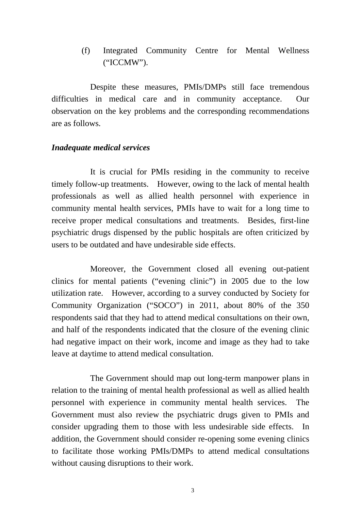(f) Integrated Community Centre for Mental Wellness ("ICCMW").

Despite these measures, PMIs/DMPs still face tremendous difficulties in medical care and in community acceptance. Our observation on the key problems and the corresponding recommendations are as follows.

# *Inadequate medical services*

It is crucial for PMIs residing in the community to receive timely follow-up treatments. However, owing to the lack of mental health professionals as well as allied health personnel with experience in community mental health services, PMIs have to wait for a long time to receive proper medical consultations and treatments. Besides, first-line psychiatric drugs dispensed by the public hospitals are often criticized by users to be outdated and have undesirable side effects.

Moreover, the Government closed all evening out-patient clinics for mental patients ("evening clinic") in 2005 due to the low utilization rate. However, according to a survey conducted by Society for Community Organization ("SOCO") in 2011, about 80% of the 350 respondents said that they had to attend medical consultations on their own, and half of the respondents indicated that the closure of the evening clinic had negative impact on their work, income and image as they had to take leave at daytime to attend medical consultation.

The Government should map out long-term manpower plans in relation to the training of mental health professional as well as allied health personnel with experience in community mental health services. The Government must also review the psychiatric drugs given to PMIs and consider upgrading them to those with less undesirable side effects. In addition, the Government should consider re-opening some evening clinics to facilitate those working PMIs/DMPs to attend medical consultations without causing disruptions to their work.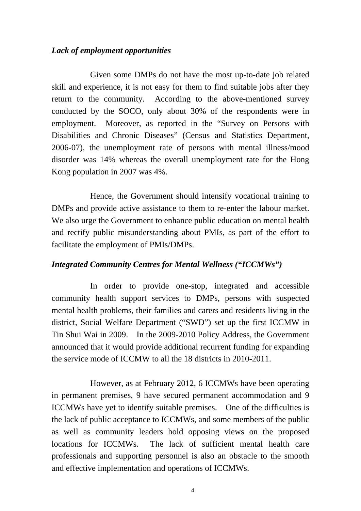## *Lack of employment opportunities*

Given some DMPs do not have the most up-to-date job related skill and experience, it is not easy for them to find suitable jobs after they return to the community. According to the above-mentioned survey conducted by the SOCO, only about 30% of the respondents were in employment. Moreover, as reported in the "Survey on Persons with Disabilities and Chronic Diseases" (Census and Statistics Department, 2006-07), the unemployment rate of persons with mental illness/mood disorder was 14% whereas the overall unemployment rate for the Hong Kong population in 2007 was 4%.

Hence, the Government should intensify vocational training to DMPs and provide active assistance to them to re-enter the labour market. We also urge the Government to enhance public education on mental health and rectify public misunderstanding about PMIs, as part of the effort to facilitate the employment of PMIs/DMPs.

# *Integrated Community Centres for Mental Wellness ("ICCMWs")*

In order to provide one-stop, integrated and accessible community health support services to DMPs, persons with suspected mental health problems, their families and carers and residents living in the district, Social Welfare Department ("SWD") set up the first ICCMW in Tin Shui Wai in 2009. In the 2009-2010 Policy Address, the Government announced that it would provide additional recurrent funding for expanding the service mode of ICCMW to all the 18 districts in 2010-2011.

However, as at February 2012, 6 ICCMWs have been operating in permanent premises, 9 have secured permanent accommodation and 9 ICCMWs have yet to identify suitable premises. One of the difficulties is the lack of public acceptance to ICCMWs, and some members of the public as well as community leaders hold opposing views on the proposed locations for ICCMWs. The lack of sufficient mental health care professionals and supporting personnel is also an obstacle to the smooth and effective implementation and operations of ICCMWs.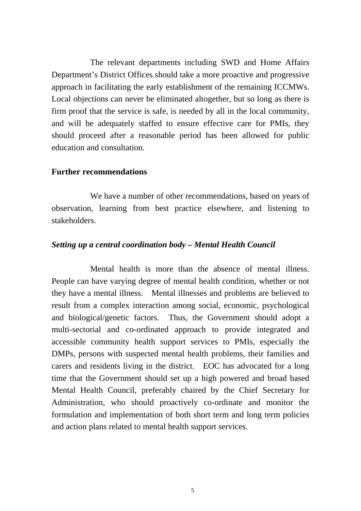The relevant departments including SWD and Home Affairs Department's District Offices should take a more proactive and progressive approach in facilitating the early establishment of the remaining ICCMWs. Local objections can never be eliminated altogether, but so long as there is firm proof that the service is safe, is needed by all in the local community, and will be adequately staffed to ensure effective care for PMIs, they should proceed after a reasonable period has been allowed for public education and consultation.

#### **Further recommendations**

We have a number of other recommendations, based on years of observation, learning from best practice elsewhere, and listening to stakeholders.

#### *Setting up a central coordination body – Mental Health Council*

Mental health is more than the absence of mental illness. People can have varying degree of mental health condition, whether or not they have a mental illness. Mental illnesses and problems are believed to result from a complex interaction among social, economic, psychological and biological/genetic factors. Thus, the Government should adopt a multi-sectorial and co-ordinated approach to provide integrated and accessible community health support services to PMIs, especially the DMPs, persons with suspected mental health problems, their families and carers and residents living in the district. EOC has advocated for a long time that the Government should set up a high powered and broad based Mental Health Council, preferably chaired by the Chief Secretary for Administration, who should proactively co-ordinate and monitor the formulation and implementation of both short term and long term policies and action plans related to mental health support services.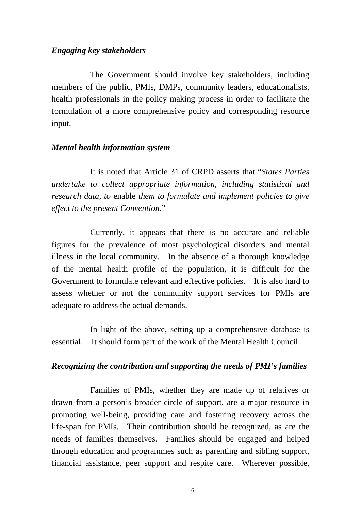#### *Engaging key stakeholders*

The Government should involve key stakeholders, including members of the public, PMIs, DMPs, community leaders, educationalists, health professionals in the policy making process in order to facilitate the formulation of a more comprehensive policy and corresponding resource input.

#### *Mental health information system*

It is noted that Article 31 of CRPD asserts that "*States Parties undertake to collect appropriate information, including statistical and research data, to* enable *them to formulate and implement policies to give effect to the present Convention.*"

Currently, it appears that there is no accurate and reliable figures for the prevalence of most psychological disorders and mental illness in the local community. In the absence of a thorough knowledge of the mental health profile of the population, it is difficult for the Government to formulate relevant and effective policies. It is also hard to assess whether or not the community support services for PMIs are adequate to address the actual demands.

In light of the above, setting up a comprehensive database is essential. It should form part of the work of the Mental Health Council.

#### *Recognizing the contribution and supporting the needs of PMI's families*

Families of PMIs, whether they are made up of relatives or drawn from a person's broader circle of support, are a major resource in promoting well-being, providing care and fostering recovery across the life-span for PMIs. Their contribution should be recognized, as are the needs of families themselves. Families should be engaged and helped through education and programmes such as parenting and sibling support, financial assistance, peer support and respite care. Wherever possible,